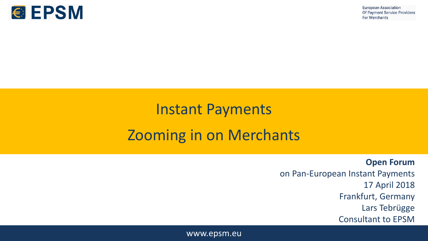

# Instant Payments Zooming in on Merchants

**Open Forum** on Pan-European Instant Payments 17 April 2018 Frankfurt, Germany Lars Tebrügge Consultant to EPSM

www.epsm.eu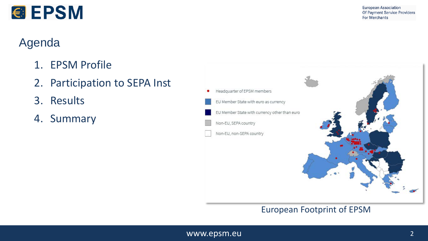

#### Agenda

*<b>@EPSM* 

- 1. EPSM Profile
- 2. Participation to SEPA Inst
- 3. Results
- 4. Summary



#### European Footprint of EPSM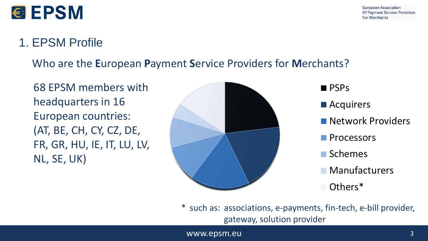

### *€* EPSM

#### 1. EPSM Profile

Who are the **E**uropean **P**ayment **S**ervice Providers for **M**erchants?

68 EPSM members with headquarters in 16 European countries: (AT, BE, CH, CY, CZ, DE, FR, GR, HU, IE, IT, LU, LV, NL, SE, UK)



**PSPs** 

**Acquirers** 

- **Network Providers**
- **Processors**
- **■** Schemes
- **Manufacturers**
- Others\*

\* such as: associations, e-payments, fin-tech, e-bill provider, gateway, solution provider

www.epsm.eu 3 and 3 and 3 and 3 and 3 and 3 and 3 and 3 and 3 and 3 and 3 and 3 and 3 and 3 and 3 and 3 and 3 and 3 and 3 and 3 and 3 and 3 and 3 and 3 and 3 and 3 and 3 and 3 and 3 and 3 and 3 and 3 and 3 and 3 and 3 and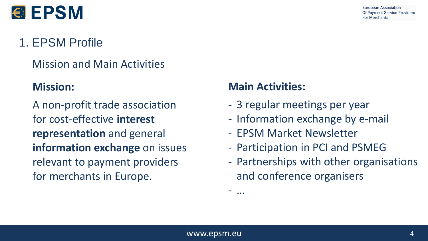

## **€ EPSM**

### 1. EPSM Profile

#### Mission and Main Activities

#### **Mission:**

A non-profit trade association for cost-effective **interest representation** and general **information exchange** on issues relevant to payment providers for merchants in Europe.

#### **Main Activities:**

- 3 regular meetings per year
- Information exchange by e-mail
- EPSM Market Newsletter
- Participation in PCI and PSMEG
- Partnerships with other organisations and conference organisers

- …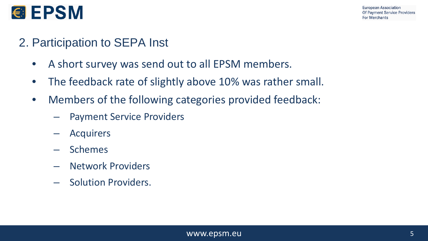

#### 2. Participation to SEPA Inst

- A short survey was send out to all EPSM members.
- The feedback rate of slightly above 10% was rather small.
- Members of the following categories provided feedback:
	- Payment Service Providers
	- Acquirers
	- Schemes
	- Network Providers
	- Solution Providers.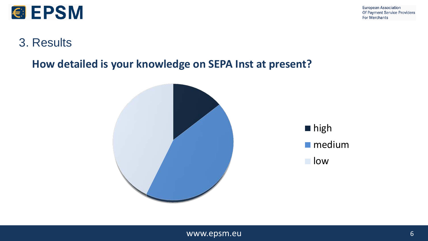

#### **How detailed is your knowledge on SEPA Inst at present?**

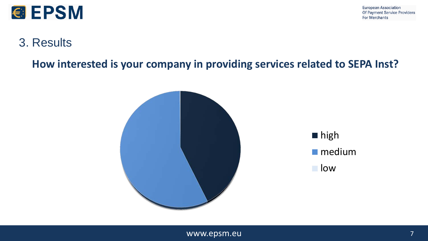

#### 3. Results

**How interested is your company in providing services related to SEPA Inst?**

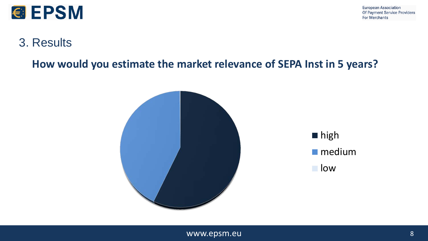

#### 3. Results

**How would you estimate the market relevance of SEPA Inst in 5 years?**

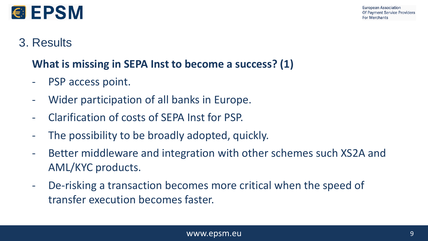



#### **What is missing in SEPA Inst to become a success? (1)**

- PSP access point.
- Wider participation of all banks in Europe.
- Clarification of costs of SEPA Inst for PSP.
- The possibility to be broadly adopted, quickly.
- Better middleware and integration with other schemes such XS2A and AML/KYC products.
- De-risking a transaction becomes more critical when the speed of transfer execution becomes faster.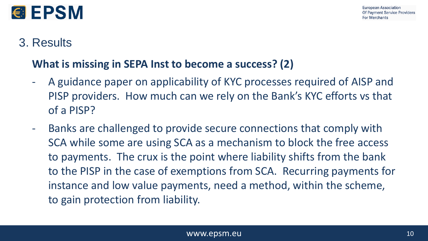

#### **What is missing in SEPA Inst to become a success? (2)**

- A guidance paper on applicability of KYC processes required of AISP and PISP providers. How much can we rely on the Bank's KYC efforts vs that of a PISP?
- Banks are challenged to provide secure connections that comply with SCA while some are using SCA as a mechanism to block the free access to payments. The crux is the point where liability shifts from the bank to the PISP in the case of exemptions from SCA. Recurring payments for instance and low value payments, need a method, within the scheme, to gain protection from liability.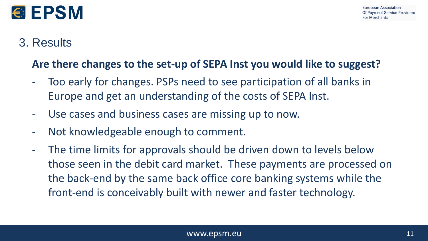

#### **Are there changes to the set-up of SEPA Inst you would like to suggest?**

- Too early for changes. PSPs need to see participation of all banks in Europe and get an understanding of the costs of SEPA Inst.
- Use cases and business cases are missing up to now.
- Not knowledgeable enough to comment.
- The time limits for approvals should be driven down to levels below those seen in the debit card market. These payments are processed on the back-end by the same back office core banking systems while the front-end is conceivably built with newer and faster technology.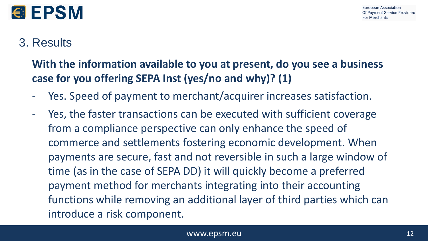

#### **With the information available to you at present, do you see a business case for you offering SEPA Inst (yes/no and why)? (1)**

- Yes. Speed of payment to merchant/acquirer increases satisfaction.
- Yes, the faster transactions can be executed with sufficient coverage from a compliance perspective can only enhance the speed of commerce and settlements fostering economic development. When payments are secure, fast and not reversible in such a large window of time (as in the case of SEPA DD) it will quickly become a preferred payment method for merchants integrating into their accounting functions while removing an additional layer of third parties which can introduce a risk component.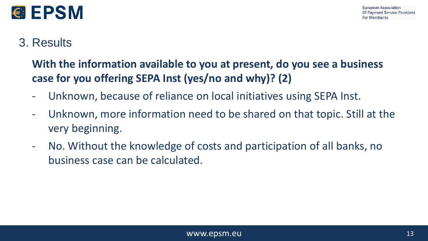

#### **With the information available to you at present, do you see a business case for you offering SEPA Inst (yes/no and why)? (2)**

- Unknown, because of reliance on local initiatives using SEPA Inst.
- Unknown, more information need to be shared on that topic. Still at the very beginning.
- No. Without the knowledge of costs and participation of all banks, no business case can be calculated.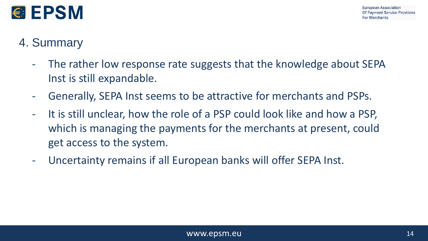

#### 4. Summary

- The rather low response rate suggests that the knowledge about SEPA Inst is still expandable.
- Generally, SEPA Inst seems to be attractive for merchants and PSPs.
- It is still unclear, how the role of a PSP could look like and how a PSP, which is managing the payments for the merchants at present, could get access to the system.
- Uncertainty remains if all European banks will offer SEPA Inst.